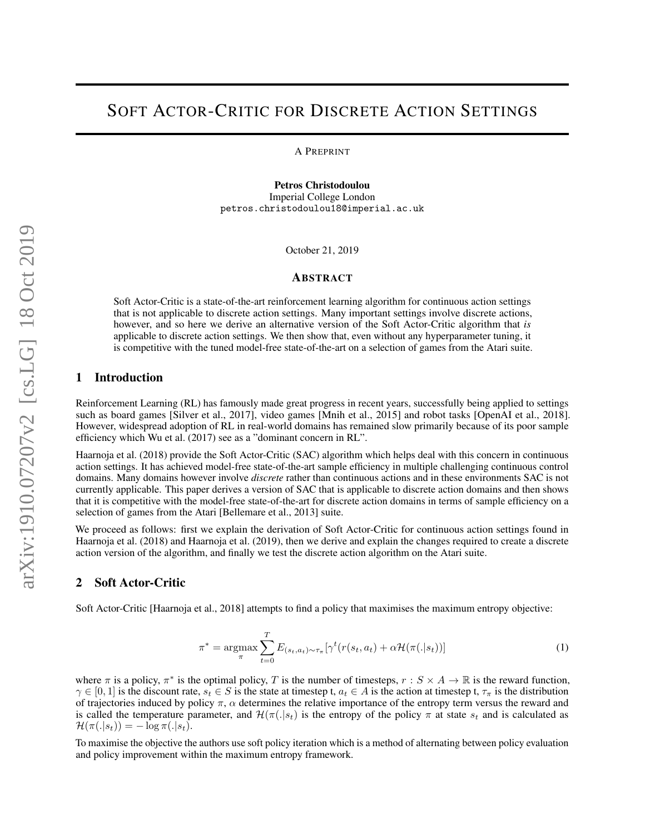# SOFT ACTOR-CRITIC FOR DISCRETE ACTION SETTINGS

A PREPRINT

Petros Christodoulou Imperial College London petros.christodoulou18@imperial.ac.uk

October 21, 2019

#### ABSTRACT

Soft Actor-Critic is a state-of-the-art reinforcement learning algorithm for continuous action settings that is not applicable to discrete action settings. Many important settings involve discrete actions, however, and so here we derive an alternative version of the Soft Actor-Critic algorithm that *is* applicable to discrete action settings. We then show that, even without any hyperparameter tuning, it is competitive with the tuned model-free state-of-the-art on a selection of games from the Atari suite.

### 1 Introduction

Reinforcement Learning (RL) has famously made great progress in recent years, successfully being applied to settings such as board games [Silver et al., [2017\]](#page-4-0), video games [Mnih et al., [2015\]](#page-4-1) and robot tasks [OpenAI et al., [2018\]](#page-4-2). However, widespread adoption of RL in real-world domains has remained slow primarily because of its poor sample efficiency which Wu et al. [\(2017\)](#page-4-3) see as a "dominant concern in RL".

Haarnoja et al. [\(2018\)](#page-4-4) provide the Soft Actor-Critic (SAC) algorithm which helps deal with this concern in continuous action settings. It has achieved model-free state-of-the-art sample efficiency in multiple challenging continuous control domains. Many domains however involve *discrete* rather than continuous actions and in these environments SAC is not currently applicable. This paper derives a version of SAC that is applicable to discrete action domains and then shows that it is competitive with the model-free state-of-the-art for discrete action domains in terms of sample efficiency on a selection of games from the Atari [Bellemare et al., [2013\]](#page-4-5) suite.

We proceed as follows: first we explain the derivation of Soft Actor-Critic for continuous action settings found in Haarnoja et al. [\(2018\)](#page-4-4) and Haarnoja et al. [\(2019\)](#page-4-6), then we derive and explain the changes required to create a discrete action version of the algorithm, and finally we test the discrete action algorithm on the Atari suite.

#### 2 Soft Actor-Critic

Soft Actor-Critic [Haarnoja et al., [2018\]](#page-4-4) attempts to find a policy that maximises the maximum entropy objective:

$$
\pi^* = \underset{\pi}{\operatorname{argmax}} \sum_{t=0}^T E_{(s_t, a_t) \sim \tau_{\pi}} [\gamma^t (r(s_t, a_t) + \alpha \mathcal{H}(\pi(.|s_t))]
$$
(1)

where  $\pi$  is a policy,  $\pi^*$  is the optimal policy, T is the number of timesteps,  $r : S \times A \to \mathbb{R}$  is the reward function,  $\gamma \in [0,1]$  is the discount rate,  $s_t \in S$  is the state at timestep t,  $a_t \in A$  is the action at timestep t,  $\tau_{\pi}$  is the distribution of trajectories induced by policy  $\pi$ ,  $\alpha$  determines the relative importance of the entropy term versus the reward and is called the temperature parameter, and  $\mathcal{H}(\pi(.|s_t))$  is the entropy of the policy  $\pi$  at state  $s_t$  and is calculated as  $\mathcal{H}(\pi(.|s_t)) = -\log \pi(.|s_t).$ 

To maximise the objective the authors use soft policy iteration which is a method of alternating between policy evaluation and policy improvement within the maximum entropy framework.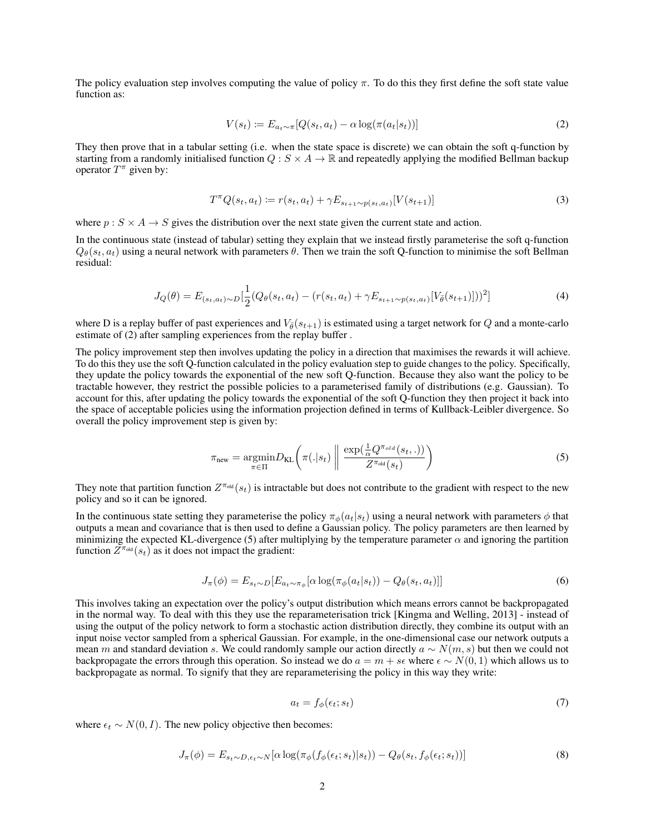The policy evaluation step involves computing the value of policy  $\pi$ . To do this they first define the soft state value function as:

<span id="page-1-0"></span>
$$
V(s_t) := E_{a_t \sim \pi} [Q(s_t, a_t) - \alpha \log(\pi(a_t|s_t))]
$$
\n
$$
(2)
$$

They then prove that in a tabular setting (i.e. when the state space is discrete) we can obtain the soft q-function by starting from a randomly initialised function  $Q : S \times A \to \mathbb{R}$  and repeatedly applying the modified Bellman backup operator  $T^{\pi}$  given by:

$$
T^{\pi}Q(s_t, a_t) \coloneqq r(s_t, a_t) + \gamma E_{s_{t+1} \sim p(s_t, a_t)}[V(s_{t+1})]
$$
\n(3)

where  $p : S \times A \rightarrow S$  gives the distribution over the next state given the current state and action.

In the continuous state (instead of tabular) setting they explain that we instead firstly parameterise the soft q-function  $Q_{\theta}(s_t, a_t)$  using a neural network with parameters  $\theta$ . Then we train the soft Q-function to minimise the soft Bellman residual:

<span id="page-1-2"></span>
$$
J_Q(\theta) = E_{(s_t, a_t) \sim D} \left[ \frac{1}{2} (Q_{\theta}(s_t, a_t) - (r(s_t, a_t) + \gamma E_{s_{t+1} \sim p(s_t, a_t)} [V_{\bar{\theta}}(s_{t+1})]) )^2 \right]
$$
(4)

where D is a replay buffer of past experiences and  $V_{\bar{\theta}}(s_{t+1})$  is estimated using a target network for Q and a monte-carlo estimate of [\(2\)](#page-1-0) after sampling experiences from the replay buffer .

The policy improvement step then involves updating the policy in a direction that maximises the rewards it will achieve. To do this they use the soft Q-function calculated in the policy evaluation step to guide changes to the policy. Specifically, they update the policy towards the exponential of the new soft Q-function. Because they also want the policy to be tractable however, they restrict the possible policies to a parameterised family of distributions (e.g. Gaussian). To account for this, after updating the policy towards the exponential of the soft Q-function they then project it back into the space of acceptable policies using the information projection defined in terms of Kullback-Leibler divergence. So overall the policy improvement step is given by:

<span id="page-1-1"></span>
$$
\pi_{\text{new}} = \underset{\pi \in \Pi}{\text{argmin}} D_{\text{KL}} \left( \pi(.|s_t) \parallel \frac{\exp(\frac{1}{\alpha} Q^{\pi_{old}}(s_t, .))}{Z^{\pi_{old}}(s_t)} \right) \tag{5}
$$

They note that partition function  $Z^{\pi_{old}}(s_t)$  is intractable but does not contribute to the gradient with respect to the new policy and so it can be ignored.

In the continuous state setting they parameterise the policy  $\pi_{\phi}(a_t|s_t)$  using a neural network with parameters  $\phi$  that outputs a mean and covariance that is then used to define a Gaussian policy. The policy parameters are then learned by minimizing the expected KL-divergence [\(5\)](#page-1-1) after multiplying by the temperature parameter  $\alpha$  and ignoring the partition function  $Z^{\pi_{old}}(s_t)$  as it does not impact the gradient:

<span id="page-1-3"></span>
$$
J_{\pi}(\phi) = E_{s_t \sim D} [E_{a_t \sim \pi_{\phi}} [\alpha \log(\pi_{\phi}(a_t|s_t)) - Q_{\theta}(s_t, a_t)]] \tag{6}
$$

This involves taking an expectation over the policy's output distribution which means errors cannot be backpropagated in the normal way. To deal with this they use the reparameterisation trick [Kingma and Welling, [2013\]](#page-4-7) - instead of using the output of the policy network to form a stochastic action distribution directly, they combine its output with an input noise vector sampled from a spherical Gaussian. For example, in the one-dimensional case our network outputs a mean m and standard deviation s. We could randomly sample our action directly  $a \sim N(m, s)$  but then we could not backpropagate the errors through this operation. So instead we do  $a = m + s\epsilon$  where  $\epsilon \sim N(0, 1)$  which allows us to backpropagate as normal. To signify that they are reparameterising the policy in this way they write:

$$
a_t = f_{\phi}(\epsilon_t; s_t) \tag{7}
$$

where  $\epsilon_t \sim N(0, I)$ . The new policy objective then becomes:

<span id="page-1-4"></span>
$$
J_{\pi}(\phi) = E_{s_t \sim D, \epsilon_t \sim N} [\alpha \log(\pi_{\phi}(f_{\phi}(\epsilon_t; s_t) | s_t)) - Q_{\theta}(s_t, f_{\phi}(\epsilon_t; s_t))]
$$
(8)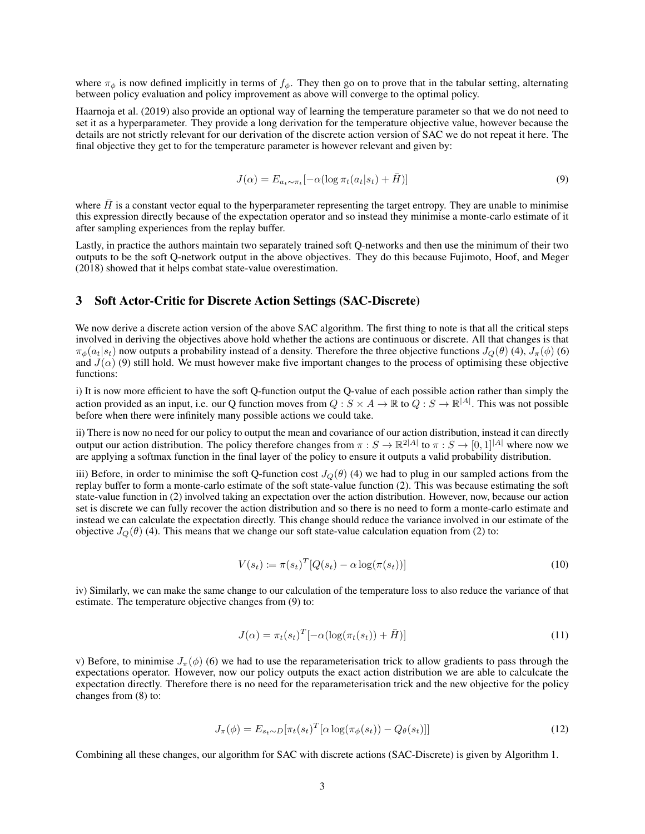where  $\pi_{\phi}$  is now defined implicitly in terms of  $f_{\phi}$ . They then go on to prove that in the tabular setting, alternating between policy evaluation and policy improvement as above will converge to the optimal policy.

Haarnoja et al. [\(2019\)](#page-4-6) also provide an optional way of learning the temperature parameter so that we do not need to set it as a hyperparameter. They provide a long derivation for the temperature objective value, however because the details are not strictly relevant for our derivation of the discrete action version of SAC we do not repeat it here. The final objective they get to for the temperature parameter is however relevant and given by:

<span id="page-2-0"></span>
$$
J(\alpha) = E_{a_t \sim \pi_t}[-\alpha(\log \pi_t(a_t|s_t) + \bar{H})]
$$
\n(9)

where  $H$  is a constant vector equal to the hyperparameter representing the target entropy. They are unable to minimise this expression directly because of the expectation operator and so instead they minimise a monte-carlo estimate of it after sampling experiences from the replay buffer.

Lastly, in practice the authors maintain two separately trained soft Q-networks and then use the minimum of their two outputs to be the soft Q-network output in the above objectives. They do this because Fujimoto, Hoof, and Meger [\(2018\)](#page-4-8) showed that it helps combat state-value overestimation.

### 3 Soft Actor-Critic for Discrete Action Settings (SAC-Discrete)

We now derive a discrete action version of the above SAC algorithm. The first thing to note is that all the critical steps involved in deriving the objectives above hold whether the actions are continuous or discrete. All that changes is that  $\pi_{\phi}(a_t|s_t)$  now outputs a probability instead of a density. Therefore the three objective functions  $J_Q(\theta)$  [\(4\)](#page-1-2),  $J_{\pi}(\phi)$  [\(6\)](#page-1-3) and  $J(\alpha)$  [\(9\)](#page-2-0) still hold. We must however make five important changes to the process of optimising these objective functions:

i) It is now more efficient to have the soft Q-function output the Q-value of each possible action rather than simply the action provided as an input, i.e. our Q function moves from  $Q : S \times A \to \mathbb{R}$  to  $\overline{Q} : S \to \mathbb{R}^{|A|}$ . This was not possible before when there were infinitely many possible actions we could take.

ii) There is now no need for our policy to output the mean and covariance of our action distribution, instead it can directly output our action distribution. The policy therefore changes from  $\pi : S \to \mathbb{R}^{2|A|}$  to  $\pi : S \to [0,1]|A|$  where now we are applying a softmax function in the final layer of the policy to ensure it outputs a valid probability distribution.

iii) Before, in order to minimise the soft Q-function cost  $J_Q(\theta)$  [\(4\)](#page-1-2) we had to plug in our sampled actions from the replay buffer to form a monte-carlo estimate of the soft state-value function [\(2\)](#page-1-0). This was because estimating the soft state-value function in [\(2\)](#page-1-0) involved taking an expectation over the action distribution. However, now, because our action set is discrete we can fully recover the action distribution and so there is no need to form a monte-carlo estimate and instead we can calculate the expectation directly. This change should reduce the variance involved in our estimate of the objective  $J_Q(\theta)$  [\(4\)](#page-1-2). This means that we change our soft state-value calculation equation from [\(2\)](#page-1-0) to:

$$
V(s_t) := \pi(s_t)^T [Q(s_t) - \alpha \log(\pi(s_t))]
$$
\n(10)

iv) Similarly, we can make the same change to our calculation of the temperature loss to also reduce the variance of that estimate. The temperature objective changes from [\(9\)](#page-2-0) to:

$$
J(\alpha) = \pi_t(s_t)^T [-\alpha(\log(\pi_t(s_t)) + \bar{H})]
$$
\n(11)

v) Before, to minimise  $J_{\pi}(\phi)$  [\(6\)](#page-1-3) we had to use the reparameterisation trick to allow gradients to pass through the expectations operator. However, now our policy outputs the exact action distribution we are able to calculcate the expectation directly. Therefore there is no need for the reparameterisation trick and the new objective for the policy changes from [\(8\)](#page-1-4) to:

$$
J_{\pi}(\phi) = E_{s_t \sim D}[\pi_t(s_t)^T [\alpha \log(\pi_{\phi}(s_t)) - Q_{\theta}(s_t)]] \tag{12}
$$

Combining all these changes, our algorithm for SAC with discrete actions (SAC-Discrete) is given by Algorithm [1.](#page-3-0)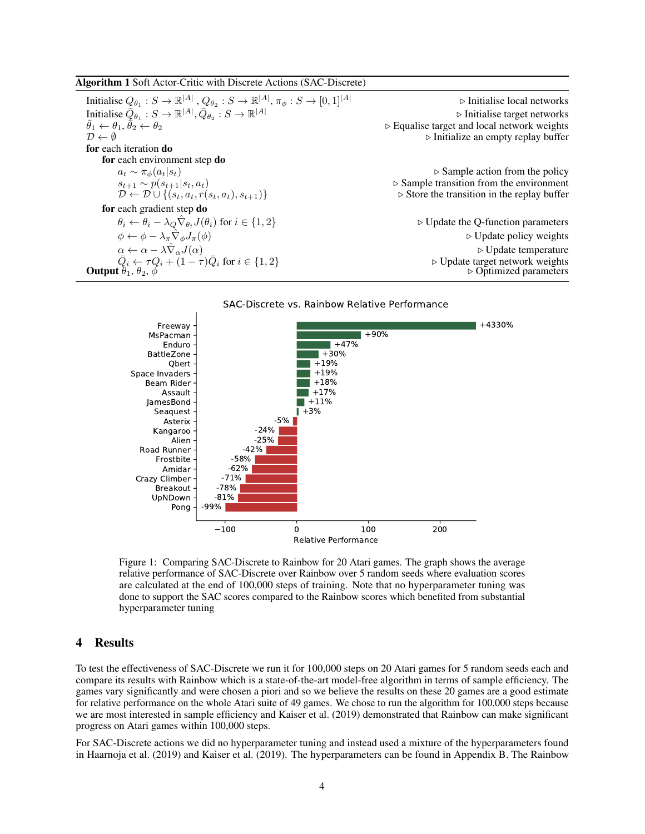<span id="page-3-0"></span>Algorithm 1 Soft Actor-Critic with Discrete Actions (SAC-Discrete)

Initialise  $Q_{\theta_1}: S \to \mathbb{R}^{|A|}$ ,  $Q_{\theta_2}: S \to \mathbb{R}^{|A|}$ ,  $\pi_{\phi}: S \to [0, 1]^{|A|}$   $\qquad \qquad \triangleright$  Initialise local networks Initialise  $\bar{Q}_{\theta_1}: S \to \mathbb{R}^{|A|}, \bar{Q}_{\theta_2}: S \to \mathbb{R}^{|A|}$   $\triangleright$  Initialise target networks  $\bar{\theta}_1 \leftarrow \theta_1, \bar{\theta}_2 \leftarrow \theta_2$ <br>  $\mathcal{D} \leftarrow \emptyset$  $\triangleright$  Finitialise target networks<br> $\triangleright$  Equalise target and local network weights ▷ Initialize an empty replay buffer for each iteration do for each environment step do  $a_t \sim \pi_{\phi}(a_t|s_t)$  . Sample action from the policy  $s_{t+1} \sim p(s_{t+1}|s_t, a_t)$  . Sample transition from the environment  $\mathcal{D} \leftarrow \mathcal{D} \cup \{ (s_t, a_t, r(s_t, a_t), s_{t+1}) \}$  b Store the transition in the replay buffer for each gradient step do  $\theta_i \leftarrow \theta_i - \lambda_Q \hat{\nabla}_{\theta_i} J(\theta_i)$  for  $i \in \{1, 2\}$  $\triangleright$  Update the O-function parameters  $\phi \leftarrow \phi - \lambda_{\pi} \hat{\nabla}_{\phi} J_{\pi}(\phi)$  $\triangleright$  Update policy weights  $\alpha \leftarrow \alpha - \lambda \hat{\nabla}_{\alpha} J(\alpha)$   $\rightarrow$  Update temperature  $\bar Q_i \leftarrow \tau Q_i + \H(1-\tau) \bar Q_i$ ⊵ Update target network weights **Output**  $\theta_1, \theta_2, \phi$  .  $\phi$  .  $\theta_2$ 

#### SAC-Discrete vs. Rainbow Relative Performance

<span id="page-3-1"></span>

Figure 1: Comparing SAC-Discrete to Rainbow for 20 Atari games. The graph shows the average relative performance of SAC-Discrete over Rainbow over 5 random seeds where evaluation scores are calculated at the end of 100,000 steps of training. Note that no hyperparameter tuning was done to support the SAC scores compared to the Rainbow scores which benefited from substantial hyperparameter tuning

## 4 Results

To test the effectiveness of SAC-Discrete we run it for 100,000 steps on 20 Atari games for 5 random seeds each and compare its results with Rainbow which is a state-of-the-art model-free algorithm in terms of sample efficiency. The games vary significantly and were chosen a piori and so we believe the results on these 20 games are a good estimate for relative performance on the whole Atari suite of 49 games. We chose to run the algorithm for 100,000 steps because we are most interested in sample efficiency and Kaiser et al. [\(2019\)](#page-4-9) demonstrated that Rainbow can make significant progress on Atari games within 100,000 steps.

For SAC-Discrete actions we did no hyperparameter tuning and instead used a mixture of the hyperparameters found in Haarnoja et al. [\(2019\)](#page-4-6) and Kaiser et al. [\(2019\)](#page-4-9). The hyperparameters can be found in Appendix [B.](#page-6-0) The Rainbow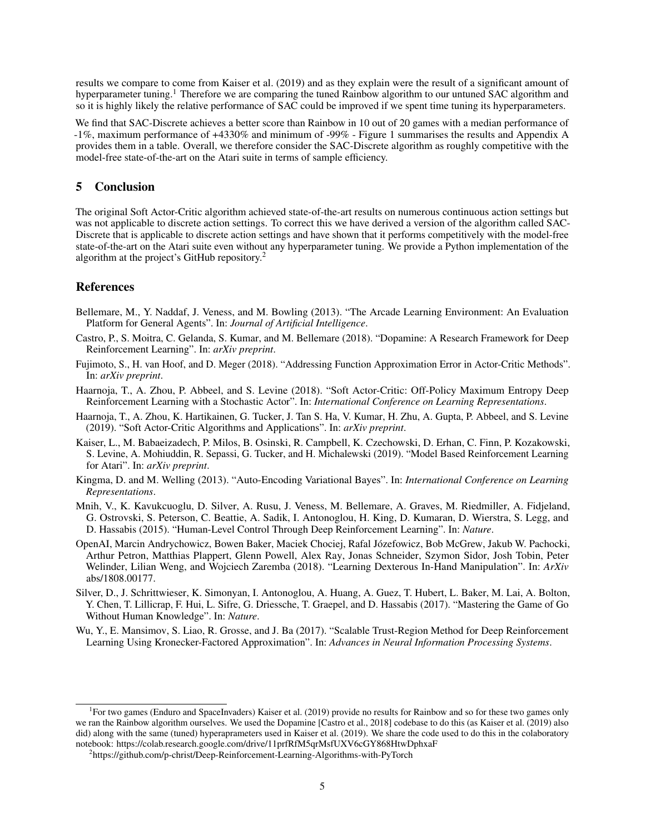results we compare to come from Kaiser et al. [\(2019\)](#page-4-9) and as they explain were the result of a significant amount of hyperparameter tuning.<sup>[1](#page-4-10)</sup> Therefore we are comparing the tuned Rainbow algorithm to our untuned SAC algorithm and so it is highly likely the relative performance of SAC could be improved if we spent time tuning its hyperparameters.

We find that SAC-Discrete achieves a better score than Rainbow in 10 out of 20 games with a median performance of -1%, maximum performance of +4330% and minimum of -99% - Figure [1](#page-3-1) summarises the results and Appendix [A](#page-5-0) provides them in a table. Overall, we therefore consider the SAC-Discrete algorithm as roughly competitive with the model-free state-of-the-art on the Atari suite in terms of sample efficiency.

## 5 Conclusion

The original Soft Actor-Critic algorithm achieved state-of-the-art results on numerous continuous action settings but was not applicable to discrete action settings. To correct this we have derived a version of the algorithm called SAC-Discrete that is applicable to discrete action settings and have shown that it performs competitively with the model-free state-of-the-art on the Atari suite even without any hyperparameter tuning. We provide a Python implementation of the algorithm at the project's GitHub repository.[2](#page-4-11)

#### References

- <span id="page-4-5"></span>Bellemare, M., Y. Naddaf, J. Veness, and M. Bowling (2013). "The Arcade Learning Environment: An Evaluation Platform for General Agents". In: *Journal of Artificial Intelligence*.
- <span id="page-4-12"></span>Castro, P., S. Moitra, C. Gelanda, S. Kumar, and M. Bellemare (2018). "Dopamine: A Research Framework for Deep Reinforcement Learning". In: *arXiv preprint*.
- <span id="page-4-8"></span>Fujimoto, S., H. van Hoof, and D. Meger (2018). "Addressing Function Approximation Error in Actor-Critic Methods". In: *arXiv preprint*.
- <span id="page-4-4"></span>Haarnoja, T., A. Zhou, P. Abbeel, and S. Levine (2018). "Soft Actor-Critic: Off-Policy Maximum Entropy Deep Reinforcement Learning with a Stochastic Actor". In: *International Conference on Learning Representations*.
- <span id="page-4-6"></span>Haarnoja, T., A. Zhou, K. Hartikainen, G. Tucker, J. Tan S. Ha, V. Kumar, H. Zhu, A. Gupta, P. Abbeel, and S. Levine (2019). "Soft Actor-Critic Algorithms and Applications". In: *arXiv preprint*.
- <span id="page-4-9"></span>Kaiser, L., M. Babaeizadech, P. Milos, B. Osinski, R. Campbell, K. Czechowski, D. Erhan, C. Finn, P. Kozakowski, S. Levine, A. Mohiuddin, R. Sepassi, G. Tucker, and H. Michalewski (2019). "Model Based Reinforcement Learning for Atari". In: *arXiv preprint*.
- <span id="page-4-7"></span>Kingma, D. and M. Welling (2013). "Auto-Encoding Variational Bayes". In: *International Conference on Learning Representations*.
- <span id="page-4-1"></span>Mnih, V., K. Kavukcuoglu, D. Silver, A. Rusu, J. Veness, M. Bellemare, A. Graves, M. Riedmiller, A. Fidjeland, G. Ostrovski, S. Peterson, C. Beattie, A. Sadik, I. Antonoglou, H. King, D. Kumaran, D. Wierstra, S. Legg, and D. Hassabis (2015). "Human-Level Control Through Deep Reinforcement Learning". In: *Nature*.
- <span id="page-4-2"></span>OpenAI, Marcin Andrychowicz, Bowen Baker, Maciek Chociej, Rafal Józefowicz, Bob McGrew, Jakub W. Pachocki, Arthur Petron, Matthias Plappert, Glenn Powell, Alex Ray, Jonas Schneider, Szymon Sidor, Josh Tobin, Peter Welinder, Lilian Weng, and Wojciech Zaremba (2018). "Learning Dexterous In-Hand Manipulation". In: *ArXiv* abs/1808.00177.
- <span id="page-4-0"></span>Silver, D., J. Schrittwieser, K. Simonyan, I. Antonoglou, A. Huang, A. Guez, T. Hubert, L. Baker, M. Lai, A. Bolton, Y. Chen, T. Lillicrap, F. Hui, L. Sifre, G. Driessche, T. Graepel, and D. Hassabis (2017). "Mastering the Game of Go Without Human Knowledge". In: *Nature*.
- <span id="page-4-3"></span>Wu, Y., E. Mansimov, S. Liao, R. Grosse, and J. Ba (2017). "Scalable Trust-Region Method for Deep Reinforcement Learning Using Kronecker-Factored Approximation". In: *Advances in Neural Information Processing Systems*.

<span id="page-4-10"></span><sup>&</sup>lt;sup>1</sup>For two games (Enduro and SpaceInvaders) Kaiser et al. [\(2019\)](#page-4-9) provide no results for Rainbow and so for these two games only we ran the Rainbow algorithm ourselves. We used the Dopamine [Castro et al., [2018\]](#page-4-12) codebase to do this (as Kaiser et al. [\(2019\)](#page-4-9) also did) along with the same (tuned) hyperaprameters used in Kaiser et al. [\(2019\)](#page-4-9). We share the code used to do this in the colaboratory notebook: https://colab.research.google.com/drive/11prfRfM5qrMsfUXV6cGY868HtwDphxaF

<span id="page-4-11"></span><sup>&</sup>lt;sup>2</sup>https://github.com/p-christ/Deep-Reinforcement-Learning-Algorithms-with-PyTorch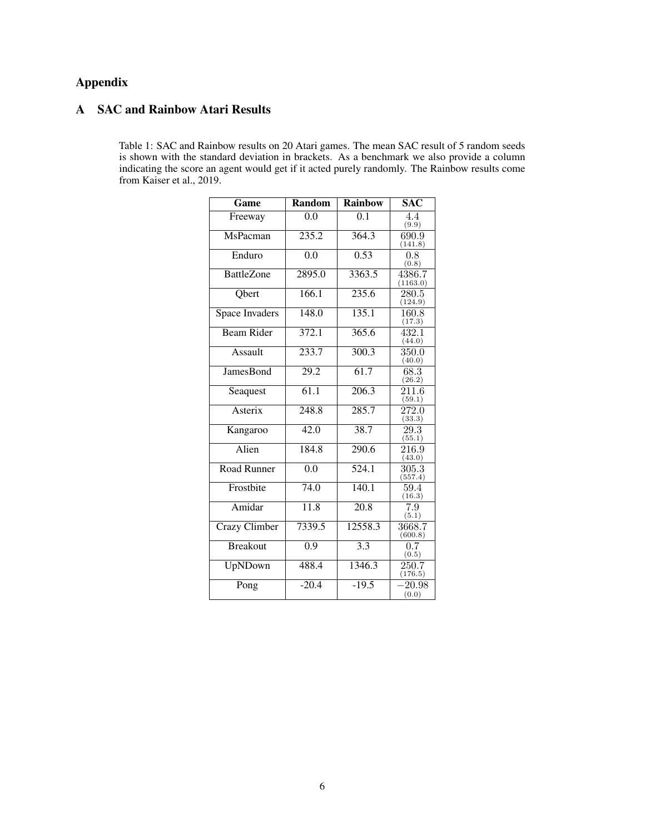# Appendix

## <span id="page-5-0"></span>A SAC and Rainbow Atari Results

Table 1: SAC and Rainbow results on 20 Atari games. The mean SAC result of 5 random seeds is shown with the standard deviation in brackets. As a benchmark we also provide a column indicating the score an agent would get if it acted purely randomly. The Rainbow results come from Kaiser et al., [2019.](#page-4-9)

| Game                 | Random            | <b>Rainbow</b>     | <b>SAC</b>         |
|----------------------|-------------------|--------------------|--------------------|
| Freeway              | 0.0               | 0.1                | 4.4<br>(9.9)       |
| MsPacman             | 235.2             | 364.3              | 690.9<br>(141.8)   |
| Enduro               | $\overline{0.0}$  | 0.53               | 0.8<br>(0.8)       |
| <b>BattleZone</b>    | 2895.0            | 3363.5             | 4386.7<br>(1163.0) |
| Qbert                | 166.1             | 235.6              | 280.5<br>(124.9)   |
| Space Invaders       | 148.0             | 135.1              | 160.8<br>(17.3)    |
| <b>Beam Rider</b>    | 372.1             | 365.6              | 432.1<br>(44.0)    |
| Assault              | 233.7             | 300.3              | 350.0<br>(40.0)    |
| <b>JamesBond</b>     | 29.2              | $\frac{61.7}{2}$   | 68.3<br>(26.2)     |
| Seaquest             | $\overline{61.1}$ | $\overline{206.3}$ | 211.6<br>(59.1)    |
| Asterix              | 248.8             | 285.7              | 272.0<br>(33.3)    |
| Kangaroo             | 42.0              | 38.7               | 29.3<br>(55.1)     |
| Alien                | 184.8             | 290.6              | 216.9<br>(43.0)    |
| <b>Road Runner</b>   | $\overline{0.0}$  | 524.1              | 305.3<br>(557.4)   |
| Frostbite            | 74.0              | 140.1              | 59.4<br>(16.3)     |
| Amidar               | $\overline{11.8}$ | 20.8               | 7.9<br>(5.1)       |
| <b>Crazy Climber</b> | 7339.5            | 12558.3            | 3668.7<br>(600.8)  |
| <b>Breakout</b>      | $\overline{0.9}$  | 3.3                | 0.7<br>(0.5)       |
| <b>UpNDown</b>       | 488.4             | 1346.3             | 250.7<br>(176.5)   |
| Pong                 | $-20.4$           | $-19.5$            | 20.98<br>(0.0)     |